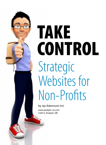

# TAKE CONTROL Strategic Websites for Non-Profits

by Jay Adamsson PhD www.analytic-or.com ©2013, Analytic-OR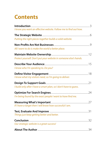### **Contents**

| I know you want an effective website. Follow me to find out how.  |  |
|-------------------------------------------------------------------|--|
|                                                                   |  |
| Putting the right pieces together builds a solid website.         |  |
|                                                                   |  |
| All I want to do is make the world a better place.                |  |
|                                                                   |  |
| Protect yourself. Don't put your website in someone else's hands. |  |
|                                                                   |  |
| I know who I'm speaking to. Do you?                               |  |
|                                                                   |  |
| I know what my visitors need, so I'm going to deliver.            |  |
|                                                                   |  |
| I build only after I have a smart plan, so I don't have to quess. |  |
|                                                                   |  |
| I'm being found by the exact people I want to have find me.       |  |
|                                                                   |  |
| If I have a target then I will know how successful I am.          |  |
|                                                                   |  |
| Things just keep getting better and better.                       |  |
|                                                                   |  |
| Our strategic website is a great success!                         |  |
|                                                                   |  |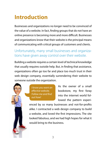### **Introduction**

Businesses and organizations no longer need to be convinced of the value of a website. In fact, finding groups that do not have an online presence is becoming more and more difficult. Businesses and organizations know that their website is the principal means of communicating with critical groups of customers and clients.

#### Unfortunately, many small businesses and organizations have given away control over their website.

Building a website requires a certain level of technical knowledge that usually requires outside help. But, in finding that assistance, organizations often go too far and place too much trust in their web design company, essentially surrendering their website to someone outside the organization.



*I know you want an effective website. Follow me and find out how!*

As the owner of a small bookstore, my first foray into the internet world followed the pattern experi-

enced by so many businesses and not-for-profits alike. I contracted a web design company to build a website, and loved the first impressions. The site looked fabulous, and we had high hopes for what it would bring to the business.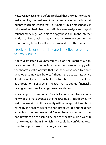However, it wasn't long before I realized that the website was not really helping the business. It was a pretty face on the internet, but not much more than that. Fortunately, unlike most people in this situation, I had a background in business analysis and organizational modeling. I was able to apply those skills to the internet world. I realized that I had let a stranger make many business decisions on my behalf, and I was determined to fix the problems.

#### I took back control and created an effective website for my business.

A few years later, I volunteered to sit on the Board of a nonprofit community theatre. Board members were unhappy with the theatre's static website that had been developed by a web developer some years before. Although the site was attractive, it did not really make much of a contribution to the overall theatre operation. For a small theatre that struggled financially, paying for even small changes was prohibitive.

So as happens on volunteer Boards, I volunteered to develop a new website that advanced the theatres goals. But this was my first time working in this capacity with a non-profit. I was fascinated by the challenges of the non-profit world, and the differences from the business world. Since, I have worked with other non-profits to do the same. I helped the theatre build a website that worked for them, in which they could be confident. Now I want to help empower other organizations.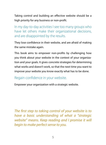Taking control and building an effective website should be a high priority for any business or non-profit.

In my day-to-day activities I see too many groups who have let others make their organizational decisions, and are disappointed by the results.

They lose confidence in their website, and are afraid of making the same mistake again.

This book aims to empower non-profits by challenging how you think about your website in the context of your organization and your goals. It gives concrete strategies for determining what works and doesn't work, so that the next time you want to improve your website you know exactly what has to be done.

#### Regain confidence in your website.

Empower your organization with a strategic website.

*The first step to taking control of your website is to have a basic understanding of what a "strategic website" means. Keep reading and I promise it will begin to make perfect sense to you.*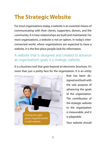### **The Strategic Website**

For most organizations today, a website is an essential means of communicating with their clients, supporters, donors, and the community. It is how relationships are built and maintained. For most organizations, a website is not an option. In today's interconnected world, where organizations are expected to have a website, it is the first place people look for information.

#### A website that is designed and created to advance an organization's goals is a strategic website.

It is a business tool that goes beyond an electronic brochure. It's more than just a pretty face for the organization. It is an entity



that has been designed and built with the sole purpose of advancing the goals of the organization. The contribution of the strategic website to the organization is measurable, and it is adaptable.

Your website should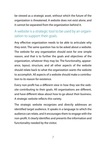be viewed as a strategic asset, without which the future of the organization is threatened. A website does not exist alone, and it cannot be separated from the organization behind it.

#### A website is a strategic tool to be used by an organization to support their goals.

Any effective organization needs to be able to articulate why they exist. The same question has to be asked about a website. The website for any organization should exist for one simple reason, and that is to further the goals and objectives of the organization, whatever they may be. The functionality, appearance, layout, structure, and all other aspects of the website should relate back to what the organization wants the website to accomplish. All aspects of a website should make a contribution to its reason for existence.

Every non-profit has a different view in how they see the website contributing to their goals. All organizations are different, and have different ideas about how to go about their business. A strategic website reflects this variety.

The strategic website recognizes and directly addresses an identified target audience. It speaks in a language to which the audience can relate, and it encourages them to engage with the non-profit. It clearly identifies and presents the information and functionality needed by the visitor.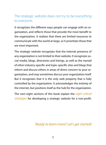#### The strategic website does not try to be everything to everyone.

It recognizes the different ways people can engage with an organization, and reflects those that provide the most benefit to the organization. It realizes that there are limited resources to communicate with the world at large, so it prioritizes those that are most important.

The strategic website recognizes that the internet presence of any organization is not limited to their website. It recognizes social media, blogs, directories and listings, as well as the myriad of other industry-specific and topic-specific sites and blogs that inform and discuss others in areas of direct concern to your organization, and may sometimes discuss your organization itself. But it recognizes that it is the only web property that is fully controlled by the organization. It acknowledges the entirety of the internet, but positions itself as the hub for the organization.

The next eight sections of this book explain the *eight critical strategies* for developing a strategic website for a non-profit.

#### *Ready to learn more? Let's get started!*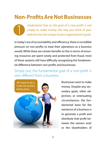### **Non-Profits Are Not Businesses**

*Understand that as the goal of a non-profit is not simply to make money, the way you think of your website must be unique to your organization's goals.*

In today's era of accountability and efficiency, there is incredible pressure on non-profits to treat their operations as a business would. While there are certain benefits to this in terms of ensuring resources are spent wisely and protected from fraud, most of these systems still have difficulty recognizing the fundamental difference between non-profits and businesses.

Simply put, the fundamental goal of a non-profit is very different from a business.



1

Businesses exist to make money. Despite any secondary goals, other objectives, or extenuating circumstances, the fundamental basis for the existence of a business is to generate a profit and distribute that profit between the owners and/ or the shareholders of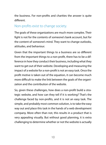the business. For non-profits and charities the answer is quite different.

#### Non-profits exist to change society.

The goals of these organizations are much more complex. Their fight is not for the contents of someone's bank account, but for the content of someone's mind. They want to change outlooks, attitudes, and behaviour.

Given that the important things to a business are so different from the important things to a non-profit, there has to be a difference in how they conduct their business, including what they want to get out of their website. Developing and measuring the impact of a website for a non-profit is not an easy task. Once the profit motive is taken out of the equation, it can become much more difficult to make the link between the goals of the organization and the contribution of the website.

So, given these challenges, how does a non-profit build a strategic website, and how can they tell if it is working? That's the challenge faced by non-profits, and it is not an easy task. The simple, and probably most common solution, is to take the easy way out and place this task in the hands of a web development company. More often than not, this results in a product that is very appealing visually. But without good planning, it is extra challenging to determine whether or not the website is actually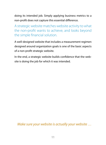doing its intended job. Simply applying business metrics to a non-profit does not capture this essential difference.

A strategic website matches website activity to what the non-profit wants to achieve, and looks beyond the simple financial solution.

A well-designed website that includes a measurement regimen designed around organization goals is one of the basic aspects of a non-profit strategic website.

In the end, a strategic website builds confidence that the website is doing the job for which it was intended.

*Make sure your website is actually your website …*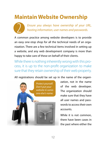### **Maintain Website Ownership**



*Ensure you always have ownership of your URL, hosting information, user names and passwords.*

A common practice among website developers is to provide an easy one-stop shop for all the technical needs of an organization. There are a few technical items involved in setting up a website, and any web development company is more than happy to take care of these on behalf of their clients.

While there is nothing inherently wrong with this process, it is up to the non-profit organization to make sure that they retain ownership of their web property.

All registrations should be set up in the name of the organi-



zation, not in the name of the web developer. The organization should make sure that they have all user names and passwords to access their own accounts.

While it is not common, there have been cases in the past where either the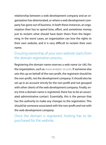relationship between a web development company and an organization has deteriorated, or where a web development company has gone out of business. In both these instances, an organization then has to spend time, effort, and sometimes money just to reclaim what should have been theirs from the beginning. In the worst cases, an organization can lose the rights to their own website, and it is very difficult to reclaim their own name.

#### Ensuring ownership of your own website starts from the domain registration process.

Registering the domain name reserves a web name (or URL) for the organization, such as www.analytic-or.com. If someone else sets this up on behalf of the non-profit, the registrant should be the non-profit, not the development company. It should also be set up in an account strictly for the non-profit and not grouped with other clients of the web development company. Finally, every time a domain name is registered, there has to be an associated administrative contact. Essentially, this is the person that has the authority to make any changes to the registration. This should be someone associated with the non-profit and not with the web development company.

Once the domain is registered, hosting has to be purchased for the website.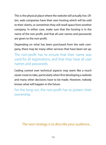This is the physical place where the website will actually live. Often, web companies have their own hosting which will be sold to their clients, or sometimes they will resell space from another company. In either case, make sure that the hosting is in the name of the non-profit, and that all user names and passwords are given to the non-profit.

Depending on what has been purchased from the web company, there may be many other services that have been set up.

The non-profit has to ensure that their name was used for all registrations, and that they have all user names and passwords.

Ceding control over technical aspects may seem like a much easier route to take, particularly when first developing a website and many other decisions have to be made. However, nobody knows what will happen in the future.

For the long run, the non-profit has to protect their ownership.

#### *The next strategy is to describe your audience...*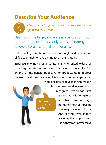### **Describe Your Audience**



*Identify your target audience to ensure the website speaks to their needs.*

Describing the target audience is a basic and important component for not only website strategy, but for overall organizational functionality.

Unfortunately, it is also one which is often glossed over, or simplified too much to have an impact on the strategy.

In particular for non-profit organizations, when asked to describe their target market, often the answer includes phrases like "everyone" or "the general public". A non-profit wants to improve the world, and they may have difficulty envisioning anyone that would be unreceptive to their message.



But a more objective assessment recognizes two things. First, not everyone is going to be receptive to your message, no matter how compelling you may believe it to be. And second, even if they are receptive to your message, they may never move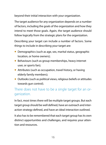beyond their initial interaction with your organization.

The target audience for any organization depends on a number of factors, including the goals of the organization and how they intend to meet those goals. Again, the target audience should follow logically from the strategic plans for the organization.

Describing your target can include a number of factors. Some things to include in describing your target are:

- Demographics (such as age, sex, marital status, geographic location, or home owners);
- Behaviours (such as group memberships, heavy internet user, or sports fan);
- Attributes (such as occupation, travel history, or having elderly family members);
- Outlooks (such as political views, religious beliefs or attitudes towards gun control).

#### There does not have to be a single target for an organization.

In fact, most times there will be multiple target groups. But each target group should be well defined, have an outreach and interaction strategy defined, and have an ideal interaction outlined.

It also has to be remembered that each target group has its own distinct opportunities and challenges, and requires your attention and resources.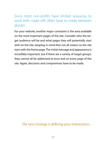#### Since most non-profits have limited resources to work with, trade-offs often have to made between groups.

For your website, another major constraint is the area available on the most important pages of the site. Consider who the target audience will be and what pages they will potentially start with on the site, keeping in mind that not all visitors to the site start with the home page. The initial message and appearance is incredibly important, but if there are a variety of target groups, they cannot all be addressed at once and on every page of the site. Again, decisions and compromises have to be made.

*The next strategy is defining your interactions...*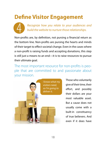# **Define Visitor Engagement**



*Recognize how you relate to your audiences and build the website to nurture those relationships.*

Non-profits are, by definition, not pursing a financial return as the bottom line. Non-profits are pursing the hearts and minds of their target to effect societal change. Even in the cases where a non-profit is raising funds and accepting donations, this step is still just a means to an end—it is to raise resources to pursue their ultimate goal.

The most important resource for non-profits is people that are committed to and passionate about your mission.



Those who voluntarily give of their time, their effort, and possibly their dollars are your most valuable asset. But a cause does not usually come with a built-in constituency of true believers. And even if it does have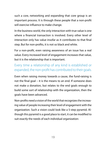such a core, networking and expanding that core group is an important process. It is through these people that a non-profit will exercise influence to make change.

In the business world, the only interaction with true value is one where a financial transaction is involved. Every other level of interaction only has value insofar as it contributes to that final step. But for non-profits, it is not so black and white.

For a non-profit, even raising awareness of an issue has a real value. Every increased level of engagement increases that value, but it is the relationship that is important.

#### Every time a relationship of any kind is established or expanded, the non-profit has contributed to their goals.

Even when raising money towards a cause, the fund-raising is not the final goal – it is the means to an end. If someone does not make a donation, but relates to the end goals enough to build some sort of relationship with the organization, then the goals have been advanced.

Non-profits need a vision of the world that recognizes the increasing value of people increasing their level of engagement with the organization. Such a vision could look like a 5-step pyramid. Although this pyramid is a good place to start, it can be modified to suit exactly the needs of each individual organization: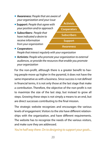

*People that interact regularly with your organization*

• **Activists:** *People who promote your organization to external audiences, or provide the resources that enable you promote your organization*

For the non-profit, although there is a greater benefit to having people move up higher in the pyramid, it does not have the same imperative as with a business. Since success is not defined in financial terms, it is not only those at the last stage that make a contribution. Therefore, the objective of the non-profit is not to maximize the size of the last step, but instead to grow all steps. Growing these steps is not simply a means to an end, but are direct successes contributing to the final mission.

The strategic website recognizes and encourages the various levels of engagement. Visitors to the site have different relationships with the organization, and have different requirements. The website has to recognize the needs of the various visitors, and make sure they are addressed.

*You're half way there. On to designing to support your goals...*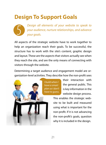### **Design To Support Goals**



*Design all elements of your website to speak to your audience, nurture relationships, and advance your goals.* 

All aspects of the strategic website have to work together to help an organization reach their goals. To be successful, the structure has to work with the site's content, graphic design and layout. These are the aspects that visitors actually see when they reach the site, and are the only means of connecting with visitors through the website.

Determining a target audience and engagement model are organization-level activities. They describe how the non-profit sees



*I build when I have a smart plan so I don't have to guess.*

their interaction with the general public. This is key information in the website design process.

This enables the strategic website to be built and measured using what is important for the non-profit. If it is not advancing the non-profit's goals, question why it is included in the design.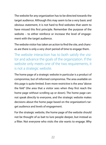The website for any organization has to be directed towards the target audience. Although this may seem to be a very basic and obvious statement, it is not hard to find websites that seem to have missed this first principle. Remember the purpose of the website – to either reinforce or increase the level of engagement with the target audience.

The website visitor has taken an action to find the site, and chances are there is only a very short period of time to engage them.

The website interaction has to both satisfy the visitor and advance the goals of the organization. If the website only meets one of the two requirements, it is not a strategic website.

The home page of a strategic website in particular is a product of compromise, but of informed compromise. The area available on this page is quite limited. Even more restrictive is the area "above the fold" (the area that a visitor sees when they first reach the home page without scrolling up or down). The home page cannot speak directly to everyone, and the strategic website makes decisions about the home page based on the organization's target audience and levels of engagement.

For the strategic website, the home page of the website should not be thought of as bait to lure people deeper, but instead as a filter. Not everyone who visits the site wants to engage. Why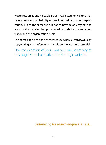waste resources and valuable screen real estate on visitors that have a very low probability of providing value to your organization? But at the same time, it has to provide an easy path to areas of the website that provide value both for the engaging visitor and the organization itself.

The home page is the part of the website where creativity, quality copywriting and professional graphic design are most essential.

The combination of logic, analysis, and creativity at this stage is the hallmark of the strategic website.

*Optimizing for search engines is next...*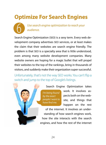# **Optimize For Search Engines**

*Use search engine optimization to reach your audience.*

Search Engine Optimization (SEO) is a sexy term. Every web development company advertises SEO services, or at least makes the claim that their websites are search engine friendly. The problem is that SEO is a specialty area that is little understood, even among many website development companies. Many website owners are hoping for a magic bullet that will propel their websites to the top of the rankings, bring in thousands of visitors, and suddenly make their organization super successful.

Unfortunately, that's not the way SEO works. You can't flip a switch and jump to the top of Google's listings.



6

Search Engine Optimization takes

*I'm being found by the exact people I want to have find me.*

work. It involves aspects both on the website, and things that happen on the rest

of the internet. It involves an understanding of how search engines work, how the site interacts with the search engines, and how the rest of the internet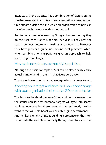interacts with the website. It is a combination of factors on the site that are under the control of an organization, as well as multiple factors outside the site which an organization at best can try influence, but are not within their control.

And to make it more interesting, Google changes the way they do their searches 400 to 500 times per year. Exactly how the search engines determine rankings is confidential. However, they have provided guidelines around best practices, which when combined with experience give an approach to help search engine rankings.

#### Most web developers are not SEO specialists.

Although the basic concepts of SEO can be stated fairly easily, actually implementing them in practice is very tricky.

The strategic website has an advantage when it comes to SEO.

#### Knowing your target audience and how they engage with your organization helps make SEO more effective.

This leads to the development of clear and precise keywords the actual phrases that potential targets will type into search engines. Incorporating these keyword phrases directly into the website text will help boost your search engine performance. Another key element of SEO is building a presence on the internet outside the website – normally through links to a site from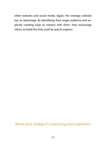other websites and social media. Again, the strategic website has an advantage. By identifying their target audience and explicitly creating ways to interact with them, they encourage others to build the links used by search engines.

*Almost done. Strategy #7 is measuring what's important...*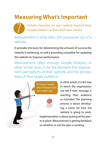### **Measuring What's Important**

*Include measures on your website beyond basic Google Analytics to learn from your visitors.* 

Measurement is what takes the guesswork out of a website. 7

It provides the basis for determining the amount of success the website is achieving, as well a providing a baseline for updating the website to improve performance.

Measurement, often through Google Analytics or other similar tools, is the link between the organization's perceptions of their website and the perceptions of their target audience.



In other words, it is the way in which the organization can tell if their message is reaching their audience as intended. The planning process is about developing a vision for how the website is going to work.

Implementation is about putting all the pieces in place. Measurement is getting feedback on whether or not the plan is working.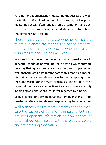For a non-profit organization, measuring the success of a website is often a difficult task. Without the measuring stick of profit, measuring success often requires some assumptions and generalizations. The properly constructed strategic website takes this difference into account.

These measures demonstrate whether or not the target audiences are making use of the organization's website as envisioned, or whether parts of your website needs to be improved.

Non-profits that depend on external funding usually have to generate reports demonstrating the extent to which they are meeting their goals. Properly customized and implemented web analytics are an important part of this reporting mechanism. When an organization moves beyond simply reporting the number of hits on their website to measures that link to their organizational goals and objectives, it demonstrates a maturity in thinking and operations that is well regarded by funders.

Many organizations rely on donations from their sponsors, and use the website as a key element in generating these donations.

Well planned website measurements not only measure the success of donation campaigns, but also provide important information on how donors (or potential donors) interact with the website before and after making a donation.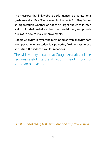The measures that link website performance to organizational goals are called Key Effectiveness Indicators (KEIs). They inform an organization whether or not their target audience is interacting with their website as had been envisioned, and provide clues as to how to make improvements.

Google Analytics is by far the most popular web analytics software package in use today. It is powerful, flexible, easy to use, and is free. But it does have its limitations.

The wide variety of data that Google Analytics collects requires careful interpretation, or misleading conclusions can be reached.

*Last but not least, test, evaluate and improve is next...*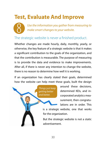# **Test, Evaluate And Improve**



*Use the information you gather from measuring to make smart changes to your website.*

#### The strategic website is never a finished product.

Whether changes are made hourly, daily, monthly, yearly, or otherwise, the key feature of a strategic website is that it makes a significant contribution to the goals of the organization, and that the contribution is measurable. The purpose of measuring is to provide the data and evidence to make improvements. After all, if there is never any intention to change the website, there is no reason to determine how well it is working.

If an organization has clearly stated their goals, determined how the website can help meet these goals, built the design



around these decisions, determined KEIs, and incorporated analytics measurement, then congratulations are in order. This

is a strategic website, one that works for the organization.

But the strategic website is not a static advertisement.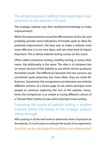#### The whole purpose of adding truly meaningful measurement to the website is to learn.

The strategic website uses that newfound knowledge to make improvements.

While the measurements reveal the effectiveness of the site, and probably provide some indications of trouble spots or ideas for potential improvement, the best way to make a website even more effective is to try new ideas, and see what kind of impact they have. This is where website testing comes on the scene.

Often called conversion testing, usability testing, or some other name, the philosophy is the same. The idea is to compare two (or more) versions of the website to see which version produces the better results. The differences between the two versions are sometimes quite extensive, but more often, they are small differences. Sometimes the comparisons are between two entirely different versions of a home page to see which prompts more people to continue exploring the rest of the website. Sometimes the comparison is as simple as trying different colours of a "Donate Now" button to see which prompts more activity.

Evaluating the results of website testing is another instance where the power of the strategic website shines through.

After putting in all the hard work to determine what's important on the website, it's much easier to evaluate the results of an experiment.

*So what can be concluded from all this new information?*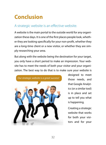### **Conclusion**

#### A strategic website is an effective website.

A website is the main portal to the outside world for any organization these days. It is one of the first places people look, whether they are looking specifically for your non-profit, whether they are a long-time client or a new visitor, or whether they are simply researching your area.

But along with the website being the destination for your target, you only have a short period to make an impression. Your website has to meet the needs of both your visitor and your organization. The best way to do that is to make sure your website is



designed to meet those needs, and that Google Analytics (or a similar tool) is in place and set up to tell you what is happening.

Creating a strategic website that works for both your visitors and for your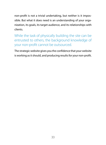non-profit is not a trivial undertaking, but neither is it impossible. But what it does need is an understanding of your organization, its goals, its target audience, and its relationships with clients.

While the task of physically building the site can be entrusted to others, the background knowledge of your non-profit cannot be outsourced.

The strategic website gives you the confidence that your website is working as it should, and producing results for your non-profit.